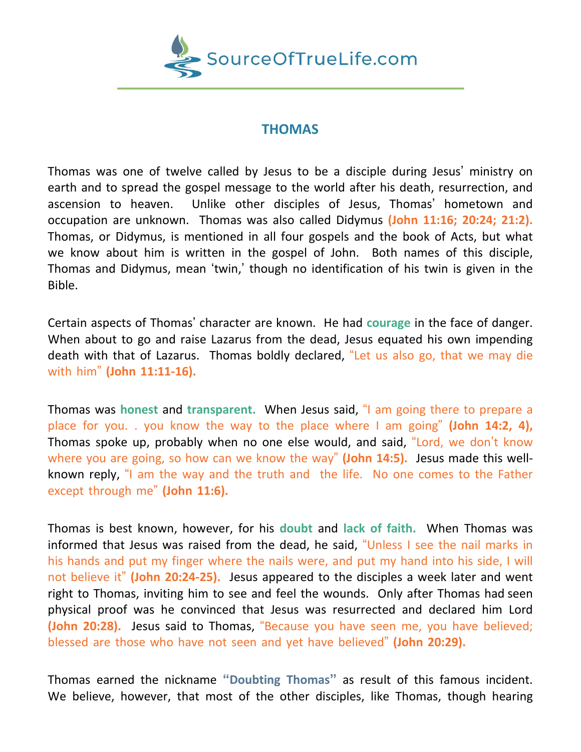

## **THOMAS**

Thomas was one of twelve called by Jesus to be a disciple during Jesus' ministry on earth and to spread the gospel message to the world after his death, resurrection, and ascension to heaven. Unlike other disciples of Jesus, Thomas' hometown and occupation are unknown. Thomas was also called Didymus **(John 11:16; 20:24; 21:2).** Thomas, or Didymus, is mentioned in all four gospels and the book of Acts, but what we know about him is written in the gospel of John. Both names of this disciple, Thomas and Didymus, mean 'twin,' though no identification of his twin is given in the Bible.

Certain aspects of Thomas' character are known. He had **courage** in the face of danger. When about to go and raise Lazarus from the dead, Jesus equated his own impending death with that of Lazarus. Thomas boldly declared, "Let us also go, that we may die with him" **(John 11:11-16).**

Thomas was **honest** and **transparent.** When Jesus said, "I am going there to prepare a place for you. . you know the way to the place where I am going" **(John 14:2, 4),** Thomas spoke up, probably when no one else would, and said, "Lord, we don't know where you are going, so how can we know the way" **(John 14:5).** Jesus made this wellknown reply, "I am the way and the truth and the life. No one comes to the Father except through me" **(John 11:6).**

Thomas is best known, however, for his **doubt** and **lack of faith.** When Thomas was informed that Jesus was raised from the dead, he said, "Unless I see the nail marks in his hands and put my finger where the nails were, and put my hand into his side, I will not believe it" **(John 20:24-25).** Jesus appeared to the disciples a week later and went right to Thomas, inviting him to see and feel the wounds. Only after Thomas had seen physical proof was he convinced that Jesus was resurrected and declared him Lord **(John 20:28).** Jesus said to Thomas, "Because you have seen me, you have believed; blessed are those who have not seen and yet have believed" **(John 20:29).**

Thomas earned the nickname **"Doubting Thomas"** as result of this famous incident. We believe, however, that most of the other disciples, like Thomas, though hearing